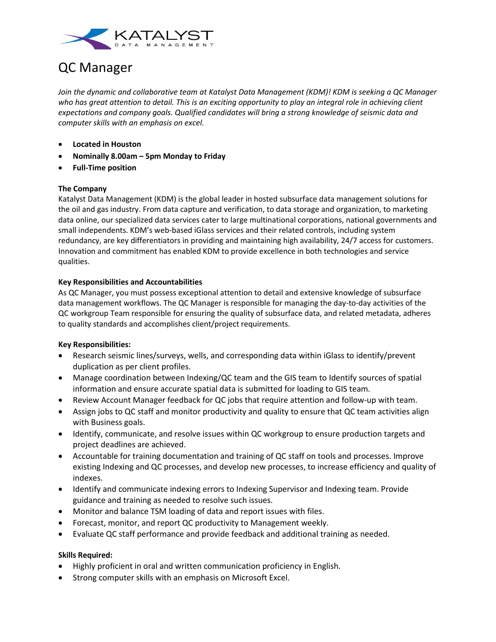

# QC Manager

*Join the dynamic and collaborative team at Katalyst Data Management (KDM)! KDM is seeking a QC Manager who has great attention to detail. This is an exciting opportunity to play an integral role in achieving client expectations and company goals. Qualified candidates will bring a strong knowledge of seismic data and computer skills with an emphasis on excel.* 

- **Located in Houston**
- **Nominally 8.00am – 5pm Monday to Friday**
- **Full-Time position**

#### **The Company**

Katalyst Data Management (KDM) is the global leader in hosted subsurface data management solutions for the oil and gas industry. From data capture and verification, to data storage and organization, to marketing data online, our specialized data services cater to large multinational corporations, national governments and small independents. KDM's web-based iGlass services and their related controls, including system redundancy, are key differentiators in providing and maintaining high availability, 24/7 access for customers. Innovation and commitment has enabled KDM to provide excellence in both technologies and service qualities.

## **Key Responsibilities and Accountabilities**

As QC Manager, you must possess exceptional attention to detail and extensive knowledge of subsurface data management workflows. The QC Manager is responsible for managing the day-to-day activities of the QC workgroup Team responsible for ensuring the quality of subsurface data, and related metadata, adheres to quality standards and accomplishes client/project requirements.

#### **Key Responsibilities:**

- Research seismic lines/surveys, wells, and corresponding data within iGlass to identify/prevent duplication as per client profiles.
- Manage coordination between Indexing/QC team and the GIS team to Identify sources of spatial information and ensure accurate spatial data is submitted for loading to GIS team.
- Review Account Manager feedback for QC jobs that require attention and follow-up with team.
- Assign jobs to QC staff and monitor productivity and quality to ensure that QC team activities align with Business goals.
- Identify, communicate, and resolve issues within QC workgroup to ensure production targets and project deadlines are achieved.
- Accountable for training documentation and training of QC staff on tools and processes. Improve existing Indexing and QC processes, and develop new processes, to increase efficiency and quality of indexes.
- Identify and communicate indexing errors to Indexing Supervisor and Indexing team. Provide guidance and training as needed to resolve such issues.
- Monitor and balance TSM loading of data and report issues with files.
- Forecast, monitor, and report QC productivity to Management weekly.
- Evaluate QC staff performance and provide feedback and additional training as needed.

#### **Skills Required:**

- Highly proficient in oral and written communication proficiency in English.
- Strong computer skills with an emphasis on Microsoft Excel.